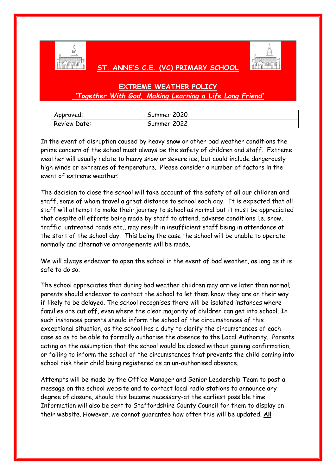

## **ST. ANNE'S C.E. (VC) PRIMARY SCHOOL**



# **EXTREME WEATHER POLICY** *'Together With God, Making Learning a Life Long Friend'*

| Approved:           | Summer 2020 |
|---------------------|-------------|
| <b>Review Date:</b> | Summer 2022 |

In the event of disruption caused by heavy snow or other bad weather conditions the prime concern of the school must always be the safety of children and staff. Extreme weather will usually relate to heavy snow or severe ice, but could include dangerously high winds or extremes of temperature. Please consider a number of factors in the event of extreme weather:

The decision to close the school will take account of the safety of all our children and staff, some of whom travel a great distance to school each day. It is expected that all staff will attempt to make their journey to school as normal but it must be appreciated that despite all efforts being made by staff to attend, adverse conditions i.e. snow, traffic, untreated roads etc., may result in insufficient staff being in attendance at the start of the school day. This being the case the school will be unable to operate normally and alternative arrangements will be made.

We will always endeavor to open the school in the event of bad weather, as long as it is safe to do so.

The school appreciates that during bad weather children may arrive later than normal; parents should endeavor to contact the school to let them know they are on their way if likely to be delayed. The school recognises there will be isolated instances where families are cut off, even where the clear majority of children can get into school. In such instances parents should inform the school of the circumstances of this exceptional situation, as the school has a duty to clarify the circumstances of each case so as to be able to formally authorise the absence to the Local Authority. Parents acting on the assumption that the school would be closed without gaining confirmation, or failing to inform the school of the circumstances that prevents the child coming into school risk their child being registered as an un-authorised absence.

Attempts will be made by the Office Manager and Senior Leadership Team to post a message on the school website and to contact local radio stations to announce any degree of closure, should this become necessary-at the earliest possible time. Information will also be sent to Staffordshire County Council for them to display on their website. However, we cannot guarantee how often this will be updated. **All**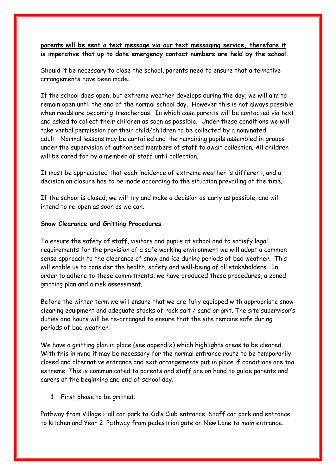### **parents will be sent a text message via our text messaging service, therefore it is imperative that up to date emergency contact numbers are held by the school.**

Should it be necessary to close the school, parents need to ensure that alternative arrangements have been made.

If the school does open, but extreme weather develops during the day, we will aim to remain open until the end of the normal school day. However this is not always possible when roads are becoming treacherous. In which case parents will be contacted via text and asked to collect their children as soon as possible. Under these conditions we will take verbal permission for their child/children to be collected by a nominated adult. Normal lessons may be curtailed and the remaining pupils assembled in groups under the supervision of authorised members of staff to await collection. All children will be cared for by a member of staff until collection.

It must be appreciated that each incidence of extreme weather is different, and a decision on closure has to be made according to the situation prevailing at the time.

If the school is closed, we will try and make a decision as early as possible, and will intend to re-open as soon as we can.

#### **Snow Clearance and Gritting Procedures**

To ensure the safety of staff, visitors and pupils at school and to satisfy legal requirements for the provision of a safe working environment we will adopt a common sense approach to the clearance of snow and ice during periods of bad weather. This will enable us to consider the health, safety and well-being of all stakeholders. In order to adhere to these commitments, we have produced these procedures, a zoned gritting plan and a risk assessment.

Before the winter term we will ensure that we are fully equipped with appropriate snow clearing equipment and adequate stocks of rock salt / sand or grit. The site supervisor's duties and hours will be re-arranged to ensure that the site remains safe during periods of bad weather.

We have a gritting plan in place (see appendix) which highlights areas to be cleared. With this in mind it may be necessary for the normal entrance route to be temporarily closed and alternative entrance and exit arrangements put in place if conditions are too extreme. This is communicated to parents and staff are on hand to guide parents and carers at the beginning and end of school day.

1. First phase to be gritted:

Pathway from Village Hall car park to Kid's Club entrance. Staff car park and entrance to kitchen and Year 2. Pathway from pedestrian gate on New Lane to main entrance.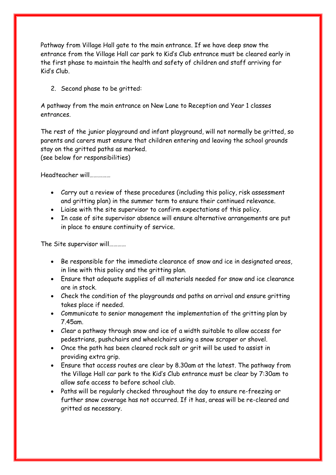Pathway from Village Hall gate to the main entrance. If we have deep snow the entrance from the Village Hall car park to Kid's Club entrance must be cleared early in the first phase to maintain the health and safety of children and staff arriving for Kid's Club.

2. Second phase to be gritted:

A pathway from the main entrance on New Lane to Reception and Year 1 classes entrances.

The rest of the junior playground and infant playground, will not normally be gritted, so parents and carers must ensure that children entering and leaving the school grounds stay on the gritted paths as marked. (see below for responsibilities)

Headteacher will……………

- Carry out a review of these procedures (including this policy, risk assessment and gritting plan) in the summer term to ensure their continued relevance.
- Liaise with the site supervisor to confirm expectations of this policy.
- In case of site supervisor absence will ensure alternative arrangements are put in place to ensure continuity of service.

The Site supervisor will…………

- Be responsible for the immediate clearance of snow and ice in designated areas, in line with this policy and the gritting plan.
- Ensure that adequate supplies of all materials needed for snow and ice clearance are in stock.
- Check the condition of the playgrounds and paths on arrival and ensure gritting takes place if needed.
- Communicate to senior management the implementation of the gritting plan by 7.45am.
- Clear a pathway through snow and ice of a width suitable to allow access for pedestrians, pushchairs and wheelchairs using a snow scraper or shovel.
- Once the path has been cleared rock salt or grit will be used to assist in providing extra grip.
- Ensure that access routes are clear by 8.30am at the latest. The pathway from the Village Hall car park to the Kid's Club entrance must be clear by 7:30am to allow safe access to before school club.
- Paths will be regularly checked throughout the day to ensure re-freezing or further snow coverage has not occurred. If it has, areas will be re-cleared and gritted as necessary.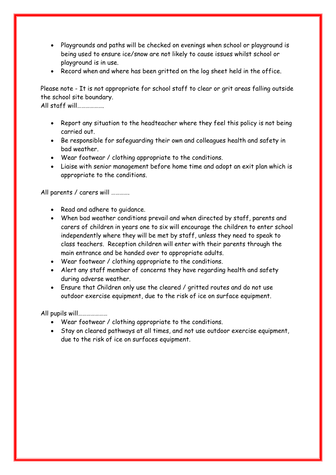- Playgrounds and paths will be checked on evenings when school or playground is being used to ensure ice/snow are not likely to cause issues whilst school or playground is in use.
- Record when and where has been gritted on the log sheet held in the office.

Please note - It is not appropriate for school staff to clear or grit areas falling outside the school site boundary.

All staff will……………….

- Report any situation to the headteacher where they feel this policy is not being carried out.
- Be responsible for safeguarding their own and colleagues health and safety in bad weather.
- Wear footwear / clothing appropriate to the conditions.
- Liaise with senior management before home time and adopt an exit plan which is appropriate to the conditions.

All parents / carers will ………….

- Read and adhere to guidance.
- When bad weather conditions prevail and when directed by staff, parents and carers of children in years one to six will encourage the children to enter school independently where they will be met by staff, unless they need to speak to class teachers. Reception children will enter with their parents through the main entrance and be handed over to appropriate adults.
- Wear footwear / clothing appropriate to the conditions.
- Alert any staff member of concerns they have regarding health and safety during adverse weather.
- Ensure that Children only use the cleared / gritted routes and do not use outdoor exercise equipment, due to the risk of ice on surface equipment.

All pupils will…………………

- Wear footwear / clothing appropriate to the conditions.
- Stay on cleared pathways at all times, and not use outdoor exercise equipment, due to the risk of ice on surfaces equipment.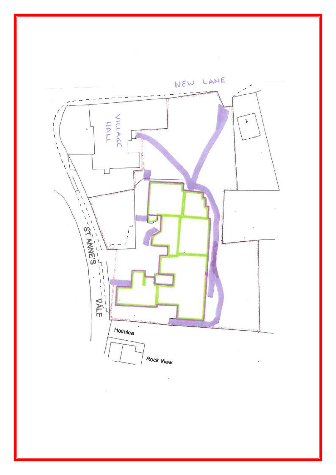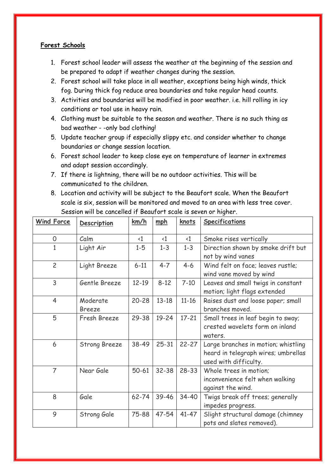### **Forest Schools**

- 1. Forest school leader will assess the weather at the beginning of the session and be prepared to adapt if weather changes during the session.
- 2. Forest school will take place in all weather, exceptions being high winds, thick fog. During thick fog reduce area boundaries and take regular head counts.
- 3. Activities and boundaries will be modified in poor weather. i.e. hill rolling in icy conditions or tool use in heavy rain.
- 4. Clothing must be suitable to the season and weather. There is no such thing as bad weather - -only bad clothing!
- 5. Update teacher group if especially slippy etc. and consider whether to change boundaries or change session location.
- 6. Forest school leader to keep close eye on temperature of learner in extremes and adapt session accordingly.
- 7. If there is lightning, there will be no outdoor activities. This will be communicated to the children.
- 8. Location and activity will be subject to the Beaufort scale. When the Beaufort scale is six, session will be monitored and moved to an area with less tree cover. Session will be cancelled if Beaufort scale is seven or higher.

| <b>Wind Force</b> | Description               | km/h                | mbh         | knots               | <b>Specifications</b>                                                                               |
|-------------------|---------------------------|---------------------|-------------|---------------------|-----------------------------------------------------------------------------------------------------|
| 0                 | Calm                      | $\langle 1 \rangle$ | $\langle$ 1 | $\langle 1 \rangle$ | Smoke rises vertically                                                                              |
| $\overline{1}$    | Light Air                 | $1 - 5$             | $1 - 3$     | $1 - 3$             | Direction shown by smoke drift but<br>not by wind vanes                                             |
| $\overline{2}$    | Light Breeze              | $6 - 11$            | $4 - 7$     | $4 - 6$             | Wind felt on face; leaves rustle;<br>wind vane moved by wind                                        |
| 3                 | Gentle Breeze             | $12 - 19$           | $8 - 12$    | $7 - 10$            | Leaves and small twigs in constant<br>motion; light flags extended                                  |
| $\overline{4}$    | Moderate<br><b>Breeze</b> | $20 - 28$           | $13 - 18$   | $11 - 16$           | Raises dust and loose paper; small<br>branches moved.                                               |
| 5                 | Fresh Breeze              | 29-38               | $19 - 24$   | $17 - 21$           | Small trees in leaf begin to sway;<br>crested wavelets form on inland<br>waters.                    |
| 6                 | <b>Strong Breeze</b>      | 38-49               | $25 - 31$   | $22 - 27$           | Large branches in motion; whistling<br>heard in telegraph wires; umbrellas<br>used with difficulty. |
| $\overline{7}$    | Near Gale                 | $50 - 61$           | $32 - 38$   | $28 - 33$           | Whole trees in motion;<br>inconvenience felt when walking<br>against the wind.                      |
| 8                 | Gale                      | 62-74               | 39-46       | 34-40               | Twigs break off trees; generally<br>impedes progress.                                               |
| 9                 | Strong Gale               | 75-88               | 47-54       | 41-47               | Slight structural damage (chimney<br>pots and slates removed).                                      |